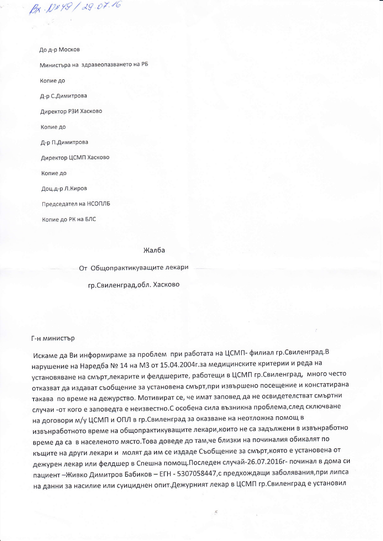До д-р Москов

Bx. N&49 / 29.07.16

Министъра на здравеопазването на РБ

Копие до

Д-р С.Димитрова

Директор РЗИ Хасково

Копие до

Д-р П.Димитрова

Директор ЦСМП Хасково

Копие до

Доц.д-р Л.Киров

Председател на НСОПЛБ

Копие до РК на БЛС

## Жалба

От Общопрактикуващите лекари

гр. Свиленград, обл. Хасково

## Г-н министър

Искаме да Ви информираме за проблем при работата на ЦСМП- филиал гр.Свиленград.В нарушение на Наредба № 14 на МЗ от 15.04.2004г.за медицинските критерии и реда на установяване на смърт,лекарите и фелдшерите, работещи в ЦСМП гр.Свиленград, много често отказват да издават съобщение за установена смърт, при извършено посещение и констатирана такава по време на дежурство. Мотивират се, че имат заповед да не освидетелстват смъртни случаи -от кого е заповедта е неизвестно.С особена сила възникна проблема,след сключване на договори м/у ЦСМП и ОПЛ в гр. Свиленград за оказване на неотложна помощ в извънработното време на общопрактикуващите лекари, които не са задължени в извънработно време да са в населеното място. Това доведе до там, че близки на починалия обикалят по къщите на други лекари и молят да им се издаде Съобщение за смърт, която е установена от дежурен лекар или фелдшер в Спешна помощ. Последен случай-26.07.2016г- починал в дома си пациент - Живко Димитров Бабиков - ЕГН - 5307058447,с предхождащи заболявания, при липса на данни за насилие или суициднен опит. Дежурният лекар в ЦСМП гр. Свиленград е установил